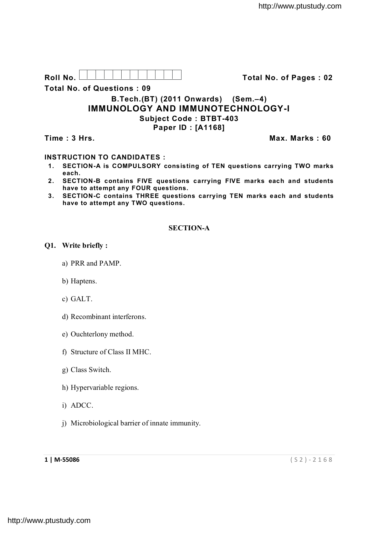| Roll No. | Total No. of Pages: 02 |
|----------|------------------------|
|          |                        |

**Total No. of Questions : 09**

# **B.Tech.(BT) (2011 Onwards) (Sem.–4) IMMUNOLOGY AND IMMUNOTECHNOLOGY-I Subject Code : BTBT-403 Paper ID : [A1168]**

**Time : 3 Hrs.** Max. Marks : 60

## **INSTRUCTION TO CANDIDATES :**

- **1. SECTION-A is COMPULSORY consisting of TEN questions carrying TWO marks each.**
- **2. SECTION-B contains FIVE questions carrying FIVE marks each and students have to attempt any FOUR questions.**
- **3. SECTION-C contains THREE questions carrying TEN marks each and students have to attempt any TWO questions.**

## **SECTION-A**

## **Q1. Write briefly :**

- a) PRR and PAMP.
- b) Haptens.
- c) GALT.
- d) Recombinant interferons.
- e) Ouchterlony method.
- f) Structure of Class II MHC.
- g) Class Switch.
- h) Hypervariable regions.
- i) ADCC.
- j) Microbiological barrier of innate immunity.

**1 | M-55086** ( S 2 ) - 2 1 6 8